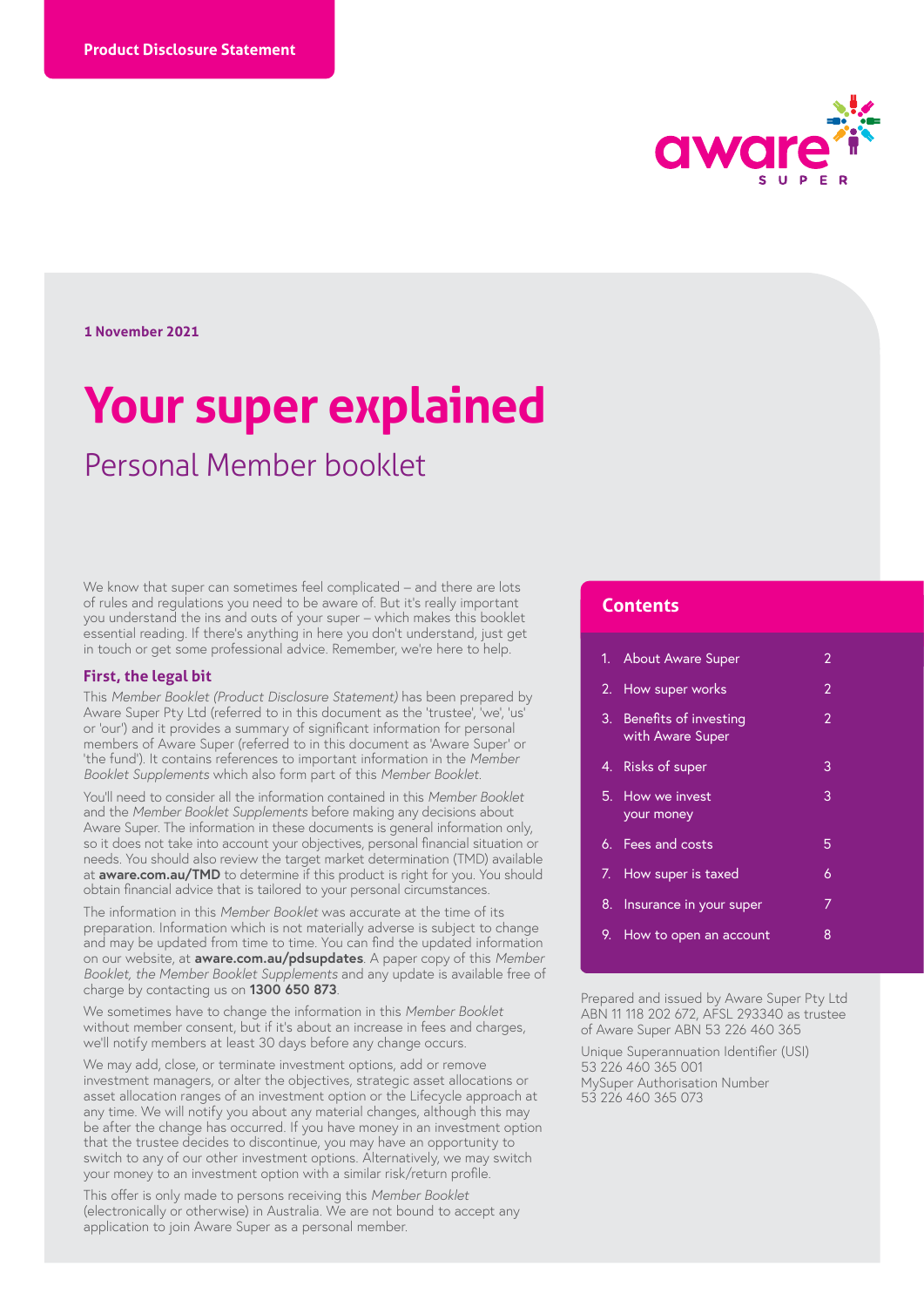

**1 November 2021**

# **Your super explained**

# Personal Member booklet

We know that super can sometimes feel complicated – and there are lots of rules and regulations you need to be aware of. But it's really important you understand the ins and outs of your super – which makes this booklet essential reading. If there's anything in here you don't understand, just get in touch or get some professional advice. Remember, we're here to help.

#### **First, the legal bit**

This *Member Booklet (Product Disclosure Statement)* has been prepared by Aware Super Pty Ltd (referred to in this document as the 'trustee', 'we', 'us' or 'our') and it provides a summary of significant information for personal members of Aware Super (referred to in this document as 'Aware Super' or 'the fund'). It contains references to important information in the *Member Booklet Supplements* which also form part of this *Member Booklet*.

You'll need to consider all the information contained in this *Member Booklet* and the *Member Booklet Supplements* before making any decisions about Aware Super. The information in these documents is general information only, so it does not take into account your objectives, personal financial situation or needs. You should also review the target market determination (TMD) available at **[aware.com.au/TMD](http://aware.com.au/TMD)** to determine if this product is right for you. You should obtain financial advice that is tailored to your personal circumstances.

The information in this *Member Booklet* was accurate at the time of its preparation. Information which is not materially adverse is subject to change and may be updated from time to time. You can find the updated information on our website, at **[aware.com.au/pdsupdates](http://aware.com.au/pdsupdates)**. A paper copy of this *Member Booklet, the Member Booklet Supplements* and any update is available free of charge by contacting us on **1300 650 873**.

We sometimes have to change the information in this *Member Booklet* without member consent, but if it's about an increase in fees and charges, we'll notify members at least 30 days before any change occurs.

We may add, close, or terminate investment options, add or remove investment managers, or alter the objectives, strategic asset allocations or asset allocation ranges of an investment option or the Lifecycle approach at any time. We will notify you about any material changes, although this may be after the change has occurred. If you have money in an investment option that the trustee decides to discontinue, you may have an opportunity to switch to any of our other investment options. Alternatively, we may switch your money to an investment option with a similar risk/return profile.

This offer is only made to persons receiving this *Member Booklet* (electronically or otherwise) in Australia. We are not bound to accept any application to join Aware Super as a personal member.

### **Contents**

|    | 1. About Aware Super                         | 2 |
|----|----------------------------------------------|---|
|    | 2. How super works                           | 2 |
|    | 3. Benefits of investing<br>with Aware Super | 2 |
|    | 4. Risks of super                            | 3 |
|    | 5. How we invest<br>your money               | 3 |
|    | 6. Fees and costs                            | 5 |
| 7. | How super is taxed                           | 6 |
| 8. | Insurance in your super                      | 7 |
| 9. | How to open an account                       | 8 |
|    |                                              |   |

Prepared and issued by Aware Super Pty Ltd ABN 11 118 202 672, AFSL 293340 as trustee of Aware Super ABN 53 226 460 365

Unique Superannuation Identifier (USI) 53 226 460 365 001 MySuper Authorisation Number 53 226 460 365 073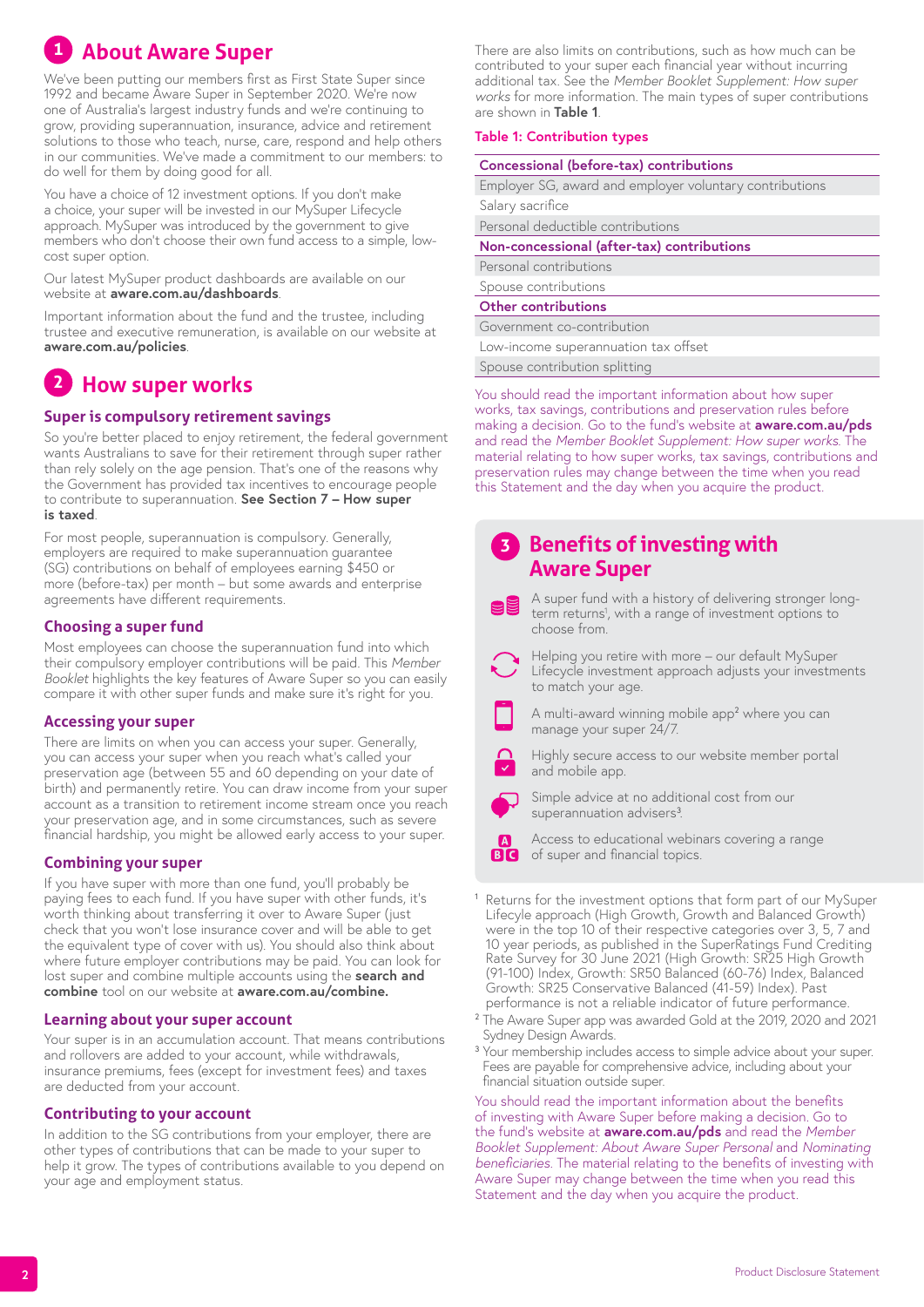# **1 About Aware Super**

We've been putting our members first as First State Super since 1992 and became Aware Super in September 2020. We're now one of Australia's largest industry funds and we're continuing to grow, providing superannuation, insurance, advice and retirement solutions to those who teach, nurse, care, respond and help others in our communities. We've made a commitment to our members: to do well for them by doing good for all.

You have a choice of 12 investment options. If you don't make a choice, your super will be invested in our MySuper Lifecycle approach. MySuper was introduced by the government to give members who don't choose their own fund access to a simple, lowcost super option.

Our latest MySuper product dashboards are available on our website at **[aware.com.au/dashboards](https://aware.com.au/member/investments-and-performance/investment-options/product-dashboards)**.

Important information about the fund and the trustee, including trustee and executive remuneration, is available on our website at **[aware.com.au/policies](http://aware.com.au/policies)**.

# **2 How super works**

# **Super is compulsory retirement savings**

So you're better placed to enjoy retirement, the federal government wants Australians to save for their retirement through super rather than rely solely on the age pension. That's one of the reasons why the Government has provided tax incentives to encourage people to contribute to superannuation. **See Section 7 – How super is taxed**.

For most people, superannuation is compulsory. Generally, employers are required to make superannuation guarantee (SG) contributions on behalf of employees earning \$450 or more (before-tax) per month – but some awards and enterprise agreements have different requirements.

# **Choosing a super fund**

Most employees can choose the superannuation fund into which their compulsory employer contributions will be paid. This *Member Booklet* highlights the key features of Aware Super so you can easily compare it with other super funds and make sure it's right for you.

# **Accessing your super**

There are limits on when you can access your super. Generally, you can access your super when you reach what's called your preservation age (between 55 and 60 depending on your date of birth) and permanently retire. You can draw income from your super account as a transition to retirement income stream once you reach your preservation age, and in some circumstances, such as severe financial hardship, you might be allowed early access to your super.

# **Combining your super**

If you have super with more than one fund, you'll probably be paying fees to each fund. If you have super with other funds, it's worth thinking about transferring it over to Aware Super (just check that you won't lose insurance cover and will be able to get the equivalent type of cover with us). You should also think about where future employer contributions may be paid. You can look for lost super and combine multiple accounts using the **search and combine** tool on our website at **[aware.com.au/combine](http://aware.com.au/combine).**

# **Learning about your super account**

Your super is in an accumulation account. That means contributions and rollovers are added to your account, while withdrawals, insurance premiums, fees (except for investment fees) and taxes are deducted from your account.

# **Contributing to your account**

In addition to the SG contributions from your employer, there are other types of contributions that can be made to your super to help it grow. The types of contributions available to you depend on your age and employment status.

There are also limits on contributions, such as how much can be contributed to your super each financial year without incurring additional tax. See the *Member Booklet Supplement: How super works* for more information. The main types of super contributions are shown in **Table 1**.

### **Table 1: Contribution types**

| Concessional (before-tax) contributions |  |
|-----------------------------------------|--|
|-----------------------------------------|--|

Employer SG, award and employer voluntary contributions Salary sacrifice

Personal deductible contributions

**Non-concessional (after-tax) contributions**

Personal contributions Spouse contributions

**Other contributions**

Government co-contribution

Low-income superannuation tax offset

Spouse contribution splitting

You should read the important information about how super works, tax savings, contributions and preservation rules before making a decision. Go to the fund's website at **[aware.com.au/pds](http://aware.com.au/pds)**  and read the *Member Booklet Supplement: How super works*. The material relating to how super works, tax savings, contributions and preservation rules may change between the time when you read this Statement and the day when you acquire the product.

# **3 Benefits of investing with Aware Super**

A super fund with a history of delivering stronger longterm returns<sup>1</sup>, with a range of investment options to choose from.



Helping you retire with more – our default MySuper Lifecycle investment approach adjusts your investments to match your age.



A multi-award winning mobile app<sup>2</sup> where you can manage your super 24/7.



Highly secure access to our website member portal and mobile app.



Simple advice at no additional cost from our superannuation advisers<sup>3</sup>.

Access to educational webinars covering a range **BC** of super and financial topics.

- 1 Returns for the investment options that form part of our MySuper Lifecyle approach (High Growth, Growth and Balanced Growth) were in the top 10 of their respective categories over 3, 5, 7 and 10 year periods, as published in the SuperRatings Fund Crediting Rate Survey for 30 June 2021 (High Growth: SR25 High Growth (91-100) Index, Growth: SR50 Balanced (60-76) Index, Balanced Growth: SR25 Conservative Balanced (41-59) Index). Past performance is not a reliable indicator of future performance.
- <sup>2</sup> The Aware Super app was awarded Gold at the 2019, 2020 and 2021 Sydney Design Awards.
- <sup>3</sup> Your membership includes access to simple advice about your super. Fees are payable for comprehensive advice, including about your financial situation outside super.

You should read the important information about the benefits of investing with Aware Super before making a decision. Go to the fund's website at **[aware.com.au/pds](http://aware.com.au/pds)** and read the *Member Booklet Supplement: About Aware Super Personal* and *Nominating beneficiaries.* The material relating to the benefits of investing with Aware Super may change between the time when you read this Statement and the day when you acquire the product.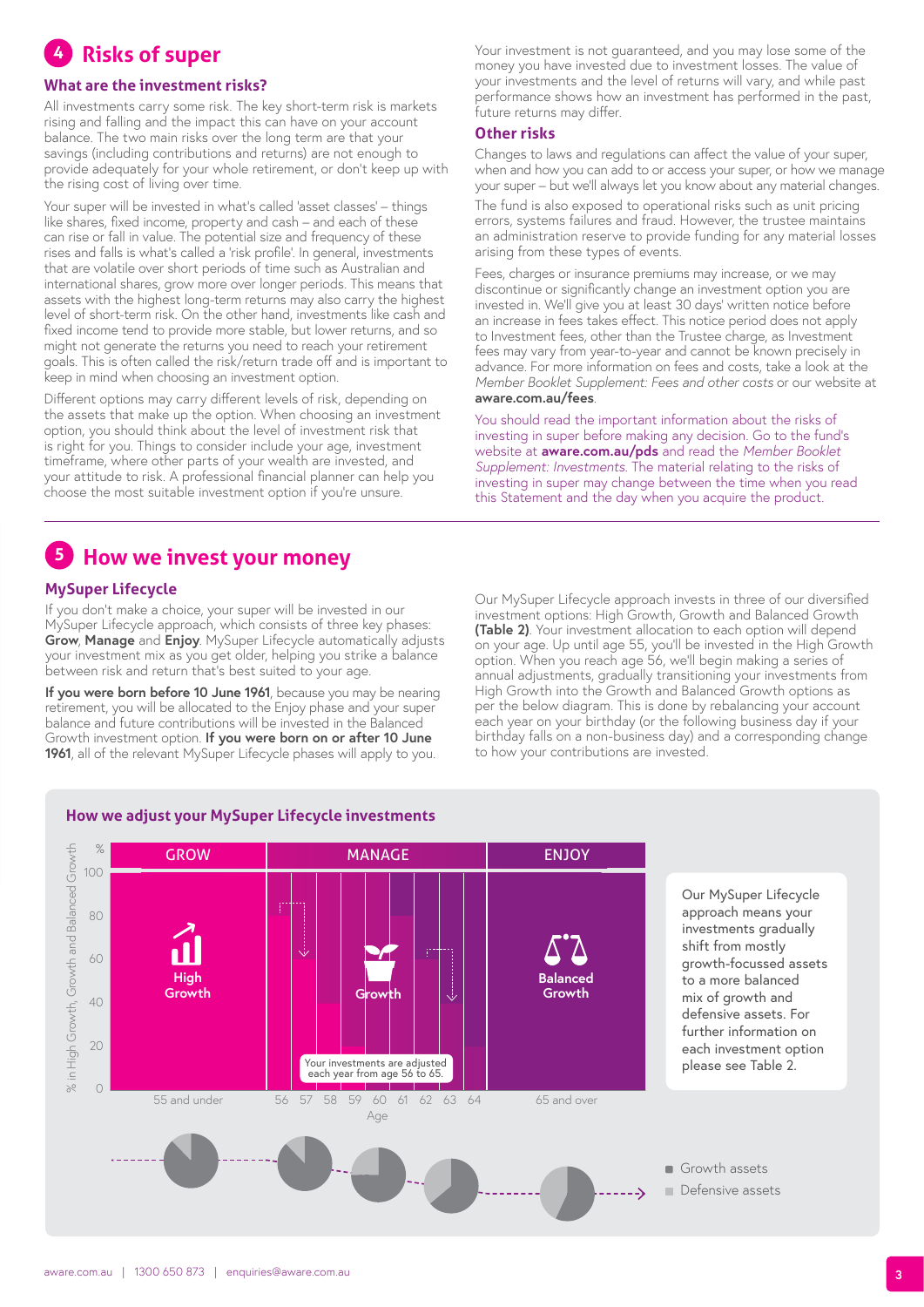# **4 Risks of super**

#### **What are the investment risks?**

All investments carry some risk. The key short-term risk is markets rising and falling and the impact this can have on your account balance. The two main risks over the long term are that your savings (including contributions and returns) are not enough to provide adequately for your whole retirement, or don't keep up with the rising cost of living over time.

Your super will be invested in what's called 'asset classes' – things like shares, fixed income, property and cash – and each of these can rise or fall in value. The potential size and frequency of these rises and falls is what's called a 'risk profile'. In general, investments that are volatile over short periods of time such as Australian and international shares, grow more over longer periods. This means that assets with the highest long-term returns may also carry the highest level of short-term risk. On the other hand, investments like cash and fixed income tend to provide more stable, but lower returns, and so might not generate the returns you need to reach your retirement goals. This is often called the risk/return trade off and is important to keep in mind when choosing an investment option.

Different options may carry different levels of risk, depending on the assets that make up the option. When choosing an investment option, you should think about the level of investment risk that is right for you. Things to consider include your age, investment timeframe, where other parts of your wealth are invested, and your attitude to risk. A professional financial planner can help you choose the most suitable investment option if you're unsure.

Your investment is not guaranteed, and you may lose some of the money you have invested due to investment losses. The value of your investments and the level of returns will vary, and while past performance shows how an investment has performed in the past, future returns may differ.

#### **Other risks**

Changes to laws and regulations can affect the value of your super, when and how you can add to or access your super, or how we manage your super – but we'll always let you know about any material changes.

The fund is also exposed to operational risks such as unit pricing errors, systems failures and fraud. However, the trustee maintains an administration reserve to provide funding for any material losses arising from these types of events.

Fees, charges or insurance premiums may increase, or we may discontinue or significantly change an investment option you are invested in. We'll give you at least 30 days' written notice before an increase in fees takes effect. This notice period does not apply to Investment fees, other than the Trustee charge, as Investment fees may vary from year-to-year and cannot be known precisely in advance. For more information on fees and costs, take a look at the *Member Booklet Supplement: Fees and other costs* or our website at **[aware.com.au/fees](http://aware.com.au/fees)**.

You should read the important information about the risks of investing in super before making any decision. Go to the fund's website at **[aware.com.au/pds](http://aware.com.au/pds)** and read the *Member Booklet Supplement: Investments*. The material relating to the risks of investing in super may change between the time when you read this Statement and the day when you acquire the product.

# **5 How we invest your money**

#### **MySuper Lifecycle**

If you don't make a choice, your super will be invested in our MySuper Lifecycle approach, which consists of three key phases: **Grow**, **Manage** and **Enjoy**. MySuper Lifecycle automatically adjusts your investment mix as you get older, helping you strike a balance between risk and return that's best suited to your age.

**If you were born before 10 June 1961**, because you may be nearing retirement, you will be allocated to the Enjoy phase and your super balance and future contributions will be invested in the Balanced Growth investment option. **If you were born on or after 10 June**  1961, all of the relevant MySuper Lifecycle phases will apply to you.

Our MySuper Lifecycle approach invests in three of our diversified investment options: High Growth, Growth and Balanced Growth **(Table 2)**. Your investment allocation to each option will depend on your age. Up until age 55, you'll be invested in the High Growth option. When you reach age 56, we'll begin making a series of annual adjustments, gradually transitioning your investments from High Growth into the Growth and Balanced Growth options as per the below diagram. This is done by rebalancing your account each year on your birthday (or the following business day if your birthday falls on a non-business day) and a corresponding change to how your contributions are invested.



### **How we adjust your MySuper Lifecycle investments**

Our MySuper Lifecycle approach means your investments gradually shift from mostly growth-focussed assets to a more balanced mix of growth and defensive assets. For further information on each investment option please see Table 2.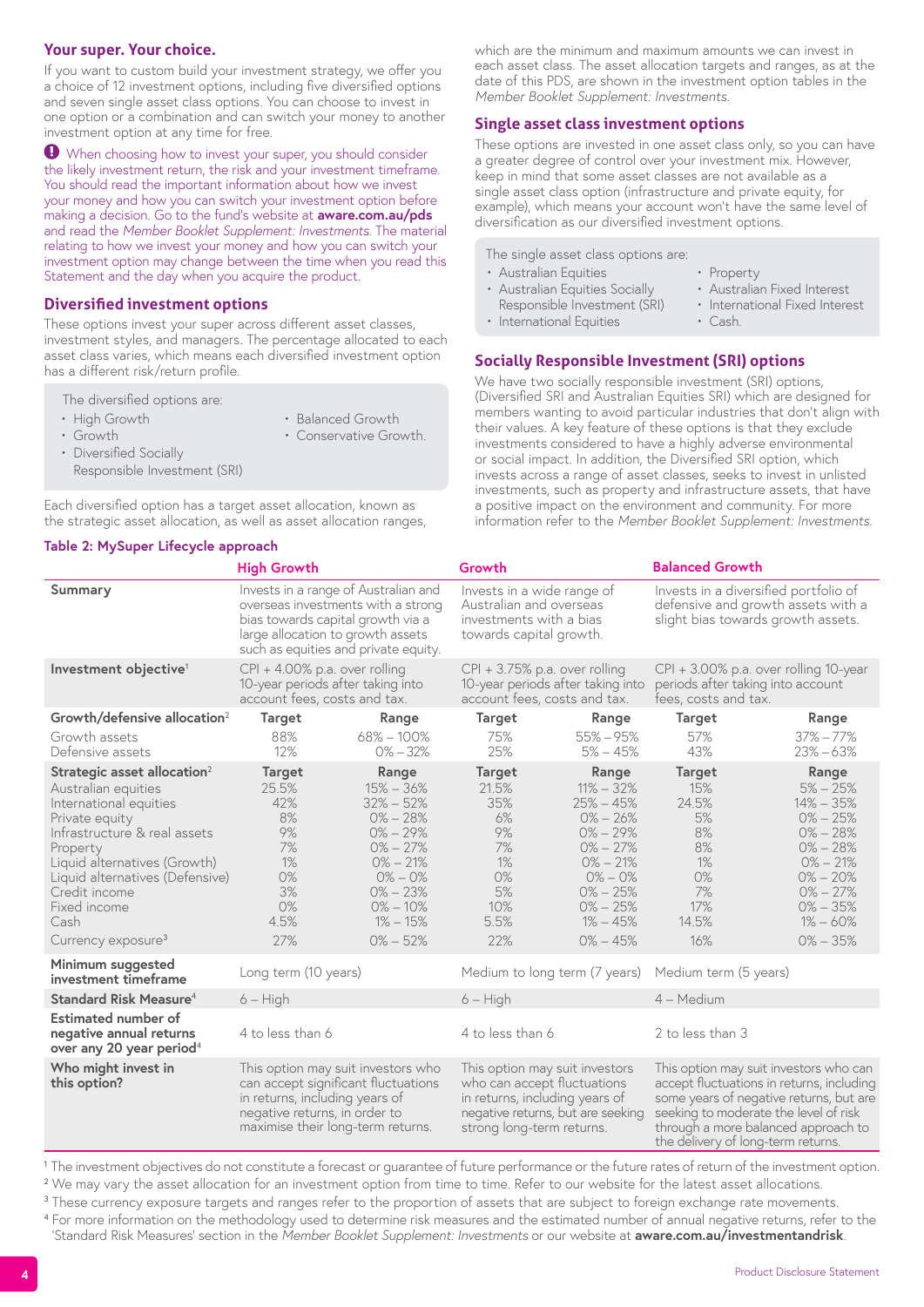### **Your super. Your choice.**

If you want to custom build your investment strategy, we offer you a choice of 12 investment options, including five diversified options and seven single asset class options. You can choose to invest in one option or a combination and can switch your money to another investment option at any time for free.

When choosing how to invest your super, you should consider the likely investment return, the risk and your investment timeframe. You should read the important information about how we invest your money and how you can switch your investment option before making a decision. Go to the fund's website at **[aware.com.au/pds](http://aware.com.au/pds)** and read the *Member Booklet Supplement: Investments*. The material relating to how we invest your money and how you can switch your investment option may change between the time when you read this Statement and the day when you acquire the product.

#### **Diversified investment options**

These options invest your super across different asset classes, investment styles, and managers. The percentage allocated to each asset class varies, which means each diversified investment option has a different risk/return profile.

The diversified options are: • High Growth • Growth • Diversified Socially Responsible Investment (SRI) • Balanced Growth • Conservative Growth.

Each diversified option has a target asset allocation, known as the strategic asset allocation, as well as asset allocation ranges,

#### **Table 2: MySuper Lifecycle approach**

which are the minimum and maximum amounts we can invest in each asset class. The asset allocation targets and ranges, as at the date of this PDS, are shown in the investment option tables in the *Member Booklet Supplement: Investments*.

#### **Single asset class investment options**

These options are invested in one asset class only, so you can have a greater degree of control over your investment mix. However, keep in mind that some asset classes are not available as a single asset class option (infrastructure and private equity, for example), which means your account won't have the same level of diversification as our diversified investment options.

The single asset class options are:

- Australian Equities
- Property
- Australian Equities Socially Responsible Investment (SRI) • International Equities
- Australian Fixed Interest • International Fixed Interest
- Cash.
	-

#### **Socially Responsible Investment (SRI) options**

We have two socially responsible investment (SRI) options, (Diversified SRI and Australian Equities SRI) which are designed for members wanting to avoid particular industries that don't align with their values. A key feature of these options is that they exclude investments considered to have a highly adverse environmental or social impact. In addition, the Diversified SRI option, which invests across a range of asset classes, seeks to invest in unlisted investments, such as property and infrastructure assets, that have a positive impact on the environment and community. For more information refer to the *Member Booklet Supplement: Investments*.

|                                                                                                                                                                                                                                                                                                      | <b>High Growth</b>                                                                                                                                                                           |                                                                                                                                                                                        | Growth                                                                                                                                                            |                                                                                                                                                                                        | <b>Balanced Growth</b>                                                                      |                                                                                                                                                                                                                |
|------------------------------------------------------------------------------------------------------------------------------------------------------------------------------------------------------------------------------------------------------------------------------------------------------|----------------------------------------------------------------------------------------------------------------------------------------------------------------------------------------------|----------------------------------------------------------------------------------------------------------------------------------------------------------------------------------------|-------------------------------------------------------------------------------------------------------------------------------------------------------------------|----------------------------------------------------------------------------------------------------------------------------------------------------------------------------------------|---------------------------------------------------------------------------------------------|----------------------------------------------------------------------------------------------------------------------------------------------------------------------------------------------------------------|
| Summary                                                                                                                                                                                                                                                                                              | Invests in a range of Australian and<br>overseas investments with a strong<br>bias towards capital growth via a<br>large allocation to growth assets<br>such as equities and private equity. |                                                                                                                                                                                        | Invests in a wide range of<br>Australian and overseas<br>investments with a bias<br>towards capital growth.                                                       |                                                                                                                                                                                        | Invests in a diversified portfolio of                                                       | defensive and growth assets with a<br>slight bias towards growth assets.                                                                                                                                       |
| Investment objective <sup>1</sup>                                                                                                                                                                                                                                                                    | CPI + 4.00% p.a. over rolling<br>10-year periods after taking into<br>account fees, costs and tax.                                                                                           |                                                                                                                                                                                        | CPI + 3.75% p.a. over rolling<br>10-year periods after taking into<br>account fees, costs and tax.                                                                |                                                                                                                                                                                        | periods after taking into account<br>fees, costs and tax.                                   | CPI + 3.00% p.a. over rolling 10-year                                                                                                                                                                          |
| Growth/defensive allocation <sup>2</sup>                                                                                                                                                                                                                                                             | <b>Target</b>                                                                                                                                                                                | Range                                                                                                                                                                                  | <b>Target</b>                                                                                                                                                     | Range                                                                                                                                                                                  | <b>Target</b>                                                                               | Range                                                                                                                                                                                                          |
| Growth assets<br>Defensive assets                                                                                                                                                                                                                                                                    | 88%<br>12%                                                                                                                                                                                   | $68\% - 100\%$<br>$0\% - 32\%$                                                                                                                                                         | 75%<br>25%                                                                                                                                                        | $55\% - 95\%$<br>$5\% - 45\%$                                                                                                                                                          | 57%<br>43%                                                                                  | $37\% - 77\%$<br>$23\% - 63\%$                                                                                                                                                                                 |
| Strategic asset allocation <sup>2</sup><br>Australian equities<br>International equities<br>Private equity<br>Infrastructure & real assets<br>Property<br>Liquid alternatives (Growth)<br>Liquid alternatives (Defensive)<br>Credit income<br>Fixed income<br>Cash<br>Currency exposure <sup>3</sup> | <b>Target</b><br>25.5%<br>42%<br>8%<br>9%<br>7%<br>1%<br>0%<br>3%<br>0%<br>4.5%<br>27%                                                                                                       | Range<br>$15\% - 36\%$<br>$32\% - 52\%$<br>$0\% - 28\%$<br>$0\% - 29\%$<br>$0\% - 27\%$<br>$0\% - 21\%$<br>$0\% - 0\%$<br>$0\% - 23\%$<br>$0\% - 10\%$<br>$1\% - 15\%$<br>$0\% - 52\%$ | <b>Target</b><br>21.5%<br>35%<br>6%<br>9%<br>7%<br>$1\%$<br>0%<br>5%<br>10%<br>5.5%<br>22%                                                                        | Range<br>$11\% - 32\%$<br>$25\% - 45\%$<br>$0\% - 26\%$<br>$0\% - 29\%$<br>$0\% - 27\%$<br>$0\% - 21\%$<br>$0\% - 0\%$<br>$0\% - 25\%$<br>$0\% - 25\%$<br>$1\% - 45\%$<br>$0\% - 45\%$ | <b>Target</b><br>15%<br>24.5%<br>5%<br>8%<br>8%<br>$1\%$<br>0%<br>7%<br>17%<br>14.5%<br>16% | Range<br>$5\% - 25\%$<br>$14\% - 35\%$<br>$0\% - 25\%$<br>$0\% - 28\%$<br>$0\% - 28\%$<br>$0\% - 21\%$<br>$0\% - 20\%$<br>$0\% - 27\%$<br>$0\% - 35\%$<br>$1\% - 60\%$<br>$0\% - 35\%$                         |
| Minimum suggested<br>investment timeframe                                                                                                                                                                                                                                                            | Long term (10 years)                                                                                                                                                                         |                                                                                                                                                                                        | Medium to long term (7 years)                                                                                                                                     |                                                                                                                                                                                        | Medium term (5 years)                                                                       |                                                                                                                                                                                                                |
| Standard Risk Measure <sup>4</sup>                                                                                                                                                                                                                                                                   | $6 - High$                                                                                                                                                                                   |                                                                                                                                                                                        | $6 - High$                                                                                                                                                        |                                                                                                                                                                                        | 4 - Medium                                                                                  |                                                                                                                                                                                                                |
| Estimated number of<br>negative annual returns<br>over any 20 year period <sup>4</sup>                                                                                                                                                                                                               | 4 to less than 6                                                                                                                                                                             |                                                                                                                                                                                        | 4 to less than 6                                                                                                                                                  |                                                                                                                                                                                        | 2 to less than 3                                                                            |                                                                                                                                                                                                                |
| Who might invest in<br>this option?                                                                                                                                                                                                                                                                  | This option may suit investors who<br>can accept significant fluctuations<br>in returns, including years of<br>negative returns, in order to<br>maximise their long-term returns.            |                                                                                                                                                                                        | This option may suit investors<br>who can accept fluctuations<br>in returns, including years of<br>negative returns, but are seeking<br>strong long-term returns. |                                                                                                                                                                                        | the delivery of long-term returns.                                                          | This option may suit investors who can<br>accept fluctuations in returns, including<br>some years of negative returns, but are<br>seeking to moderate the level of risk<br>through a more balanced approach to |

<sup>1</sup> The investment objectives do not constitute a forecast or guarantee of future performance or the future rates of return of the investment option.

 $^2$  We may vary the asset allocation for an investment option from time to time. Refer to our website for the latest asset allocations.

<sup>3</sup> These currency exposure targets and ranges refer to the proportion of assets that are subject to foreign exchange rate movements.

<sup>4</sup> For more information on the methodology used to determine risk measures and the estimated number of annual negative returns, refer to the 'Standard Risk Measures' section in the *Member Booklet Supplement: Investments* or our website at **[aware.com.au/investmentandrisk](http://aware.com.au/investmentandrisk)**.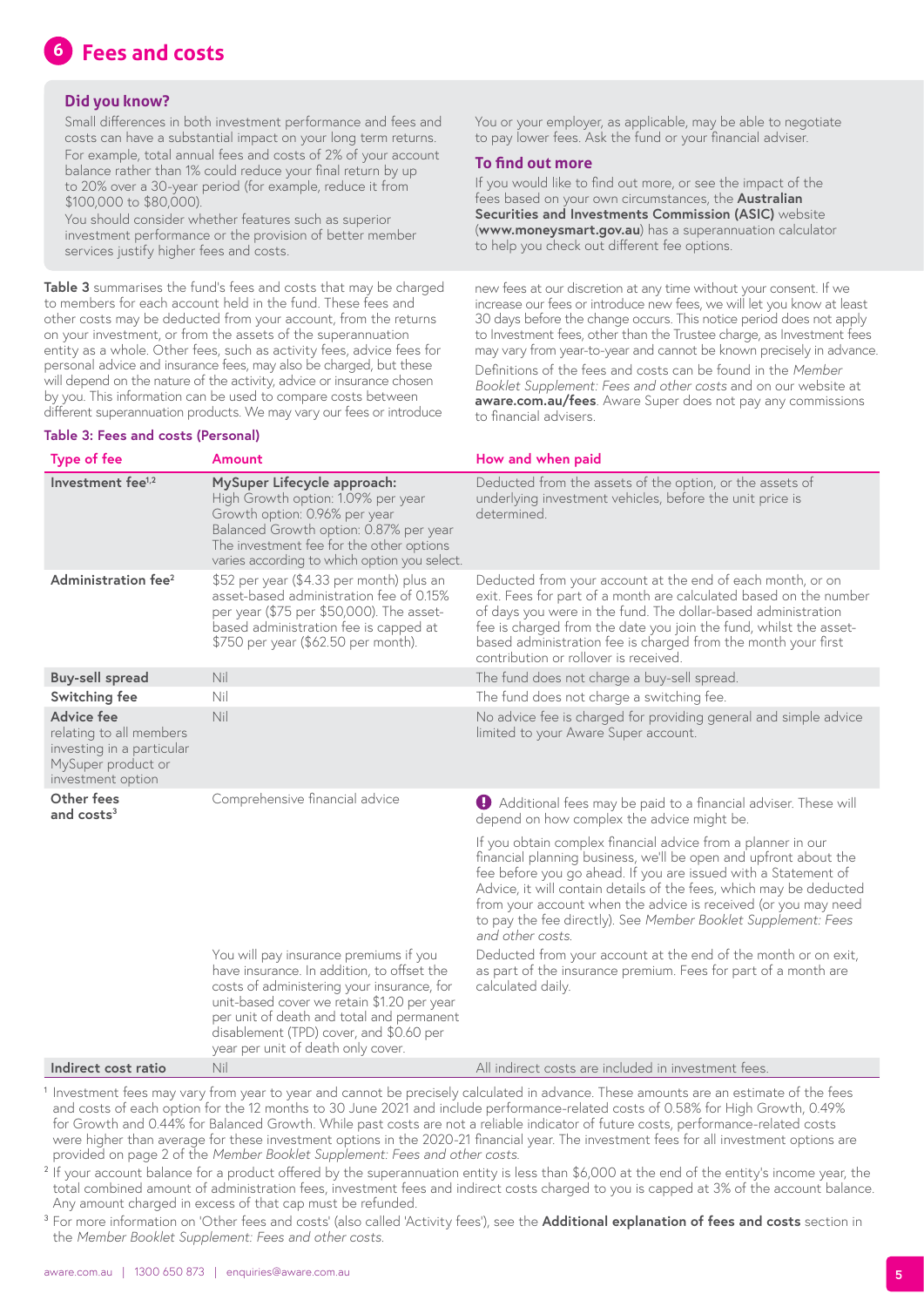# **6 Fees and costs**

#### **Did you know?**

Small differences in both investment performance and fees and costs can have a substantial impact on your long term returns. For example, total annual fees and costs of 2% of your account balance rather than 1% could reduce your final return by up to 20% over a 30-year period (for example, reduce it from \$100,000 to \$80,000).

You should consider whether features such as superior investment performance or the provision of better member services justify higher fees and costs.

**Table 3** summarises the fund's fees and costs that may be charged to members for each account held in the fund. These fees and other costs may be deducted from your account, from the returns on your investment, or from the assets of the superannuation entity as a whole. Other fees, such as activity fees, advice fees for personal advice and insurance fees, may also be charged, but these will depend on the nature of the activity, advice or insurance chosen by you. This information can be used to compare costs between different superannuation products. We may vary our fees or introduce

#### **Table 3: Fees and costs (Personal)**

You or your employer, as applicable, may be able to negotiate to pay lower fees. Ask the fund or your financial adviser.

#### **To find out more**

If you would like to find out more, or see the impact of the fees based on your own circumstances, the **Australian Securities and Investments Commission (ASIC)** website (**[www.moneysmart.gov.au](http://www.moneysmart.gov.au)**) has a superannuation calculator to help you check out different fee options.

new fees at our discretion at any time without your consent. If we increase our fees or introduce new fees, we will let you know at least 30 days before the change occurs. This notice period does not apply to Investment fees, other than the Trustee charge, as Investment fees may vary from year-to-year and cannot be known precisely in advance. Definitions of the fees and costs can be found in the *Member Booklet Supplement: Fees and other costs* and on our website at **[aware.com.au/fees](http://aware.com.au/fees)**. Aware Super does not pay any commissions

#### **Type of fee <b>Amount Amount How and when paid**

to financial advisers.

| Investment fee <sup>1,2</sup>                                                                                 | MySuper Lifecycle approach:<br>High Growth option: 1.09% per year<br>Growth option: 0.96% per year<br>Balanced Growth option: 0.87% per year<br>The investment fee for the other options<br>varies according to which option you select.                                                                       | Deducted from the assets of the option, or the assets of<br>underlying investment vehicles, before the unit price is<br>determined                                                                                                                                                                                                                                                                                              |
|---------------------------------------------------------------------------------------------------------------|----------------------------------------------------------------------------------------------------------------------------------------------------------------------------------------------------------------------------------------------------------------------------------------------------------------|---------------------------------------------------------------------------------------------------------------------------------------------------------------------------------------------------------------------------------------------------------------------------------------------------------------------------------------------------------------------------------------------------------------------------------|
| Administration fee <sup>2</sup>                                                                               | \$52 per year (\$4.33 per month) plus an<br>asset-based administration fee of 0.15%<br>per year (\$75 per \$50,000). The asset-<br>based administration fee is capped at<br>\$750 per year (\$62.50 per month).                                                                                                | Deducted from your account at the end of each month, or on<br>exit. Fees for part of a month are calculated based on the number<br>of days you were in the fund. The dollar-based administration<br>fee is charged from the date you join the fund, whilst the asset-<br>based administration fee is charged from the month your first<br>contribution or rollover is received.                                                 |
| <b>Buy-sell spread</b>                                                                                        | Nil                                                                                                                                                                                                                                                                                                            | The fund does not charge a buy-sell spread.                                                                                                                                                                                                                                                                                                                                                                                     |
| Switching fee                                                                                                 | Nil                                                                                                                                                                                                                                                                                                            | The fund does not charge a switching fee.                                                                                                                                                                                                                                                                                                                                                                                       |
| Advice fee<br>relating to all members<br>investing in a particular<br>MySuper product or<br>investment option | Nil                                                                                                                                                                                                                                                                                                            | No advice fee is charged for providing general and simple advice<br>limited to your Aware Super account.                                                                                                                                                                                                                                                                                                                        |
| Other fees<br>and costs <sup>3</sup>                                                                          | Comprehensive financial advice                                                                                                                                                                                                                                                                                 | Additional fees may be paid to a financial adviser. These will<br>depend on how complex the advice might be.                                                                                                                                                                                                                                                                                                                    |
|                                                                                                               |                                                                                                                                                                                                                                                                                                                | If you obtain complex financial advice from a planner in our<br>financial planning business, we'll be open and upfront about the<br>fee before you go ahead. If you are issued with a Statement of<br>Advice, it will contain details of the fees, which may be deducted<br>from your account when the advice is received (or you may need<br>to pay the fee directly). See Member Booklet Supplement: Fees<br>and other costs. |
|                                                                                                               | You will pay insurance premiums if you<br>have insurance. In addition, to offset the<br>costs of administering your insurance, for<br>unit-based cover we retain \$1.20 per year<br>per unit of death and total and permanent<br>disablement (TPD) cover, and \$0.60 per<br>year per unit of death only cover. | Deducted from your account at the end of the month or on exit,<br>as part of the insurance premium. Fees for part of a month are<br>calculated daily.                                                                                                                                                                                                                                                                           |
| Indirect cost ratio                                                                                           | Nil                                                                                                                                                                                                                                                                                                            | All indirect costs are included in investment fees.                                                                                                                                                                                                                                                                                                                                                                             |

<sup>1</sup> Investment fees may vary from year to year and cannot be precisely calculated in advance. These amounts are an estimate of the fees and costs of each option for the 12 months to 30 June 2021 and include performance-related costs of 0.58% for High Growth, 0.49% for Growth and 0.44% for Balanced Growth. While past costs are not a reliable indicator of future costs, performance-related costs were higher than average for these investment options in the 2020-21 financial year. The investment fees for all investment options are provided on page 2 of the *Member Booklet Supplement: Fees and other costs*.

<sup>2</sup> If your account balance for a product offered by the superannuation entity is less than \$6,000 at the end of the entity's income year, the total combined amount of administration fees, investment fees and indirect costs charged to you is capped at 3% of the account balance. Any amount charged in excess of that cap must be refunded.

<sup>3</sup>For more information on 'Other fees and costs' (also called 'Activity fees'), see the **Additional explanation of fees and costs** section in the *Member Booklet Supplement: Fees and other costs*.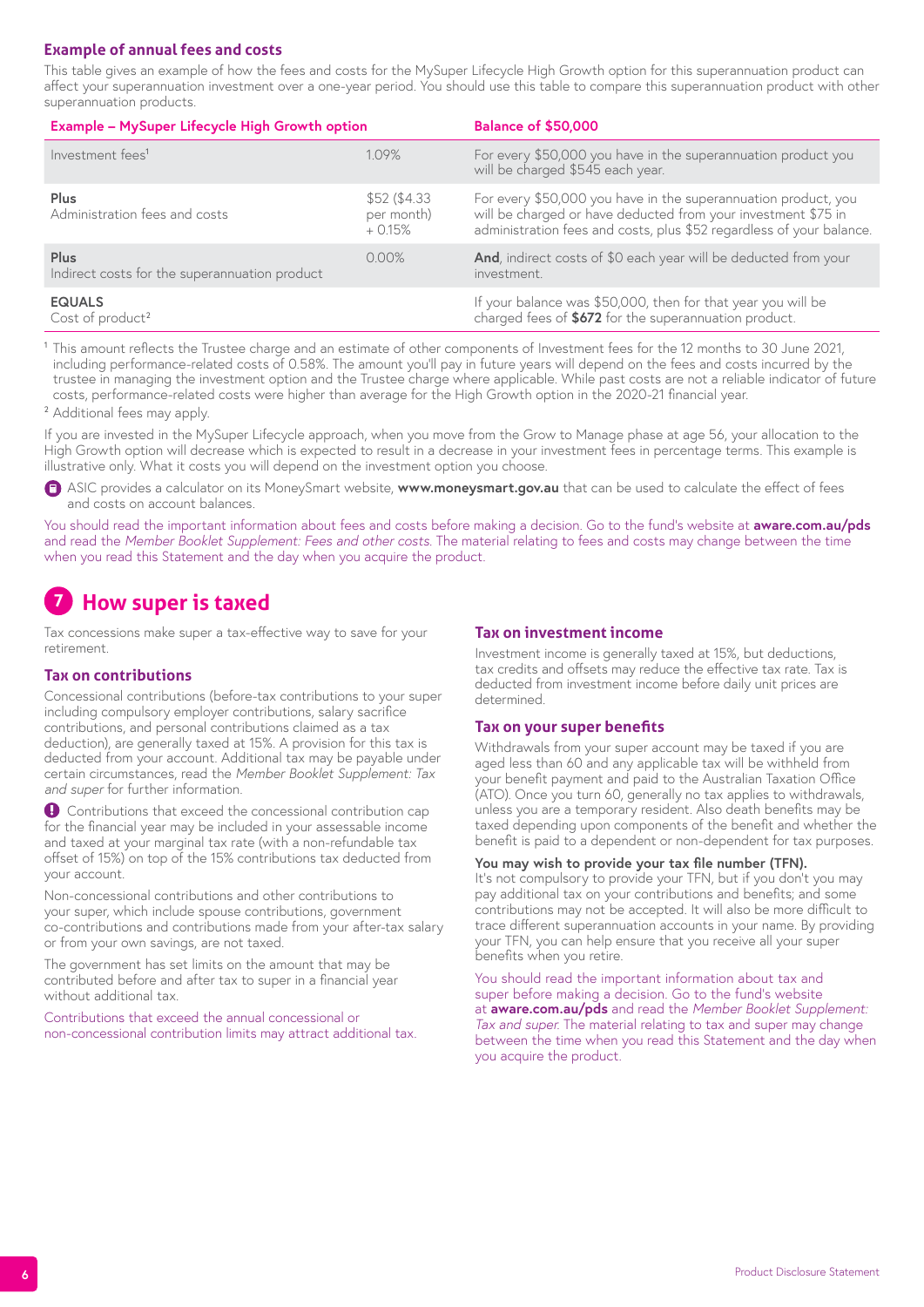### **Example of annual fees and costs**

This table gives an example of how the fees and costs for the MySuper Lifecycle High Growth option for this superannuation product can affect your superannuation investment over a one-year period. You should use this table to compare this superannuation product with other superannuation products.

| Example - MySuper Lifecycle High Growth option        |                                       | <b>Balance of \$50,000</b>                                                                                                                                                                              |  |
|-------------------------------------------------------|---------------------------------------|---------------------------------------------------------------------------------------------------------------------------------------------------------------------------------------------------------|--|
| Investment fees <sup>1</sup>                          | 1.09%                                 | For every \$50,000 you have in the superannuation product you<br>will be charged \$545 each year.                                                                                                       |  |
| Plus<br>Administration fees and costs                 | \$52(\$4.33<br>per month)<br>$+0.15%$ | For every \$50,000 you have in the superannuation product, you<br>will be charged or have deducted from your investment \$75 in<br>administration fees and costs, plus \$52 regardless of your balance. |  |
| Plus<br>Indirect costs for the superannuation product | 0.00%                                 | <b>And,</b> indirect costs of \$0 each year will be deducted from your<br>investment.                                                                                                                   |  |
| <b>EQUALS</b><br>Cost of product <sup>2</sup>         |                                       | If your balance was \$50,000, then for that year you will be<br>charged fees of \$672 for the superannuation product.                                                                                   |  |

1 This amount reflects the Trustee charge and an estimate of other components of Investment fees for the 12 months to 30 June 2021, including performance-related costs of 0.58%. The amount you'll pay in future years will depend on the fees and costs incurred by the trustee in managing the investment option and the Trustee charge where applicable. While past costs are not a reliable indicator of future costs, performance-related costs were higher than average for the High Growth option in the 2020-21 financial year.

2 Additional fees may apply.

If you are invested in the MySuper Lifecycle approach, when you move from the Grow to Manage phase at age 56, your allocation to the High Growth option will decrease which is expected to result in a decrease in your investment fees in percentage terms. This example is illustrative only. What it costs you will depend on the investment option you choose.

ASIC provides a calculator on its MoneySmart website, **[www.moneysmart.gov.au](http://www.moneysmart.gov.au)** that can be used to calculate the effect of fees and costs on account balances.

You should read the important information about fees and costs before making a decision. Go to the fund's website at **[aware.com.au/pds](http://aware.com.au/pds)** and read the *Member Booklet Supplement: Fees and other costs*. The material relating to fees and costs may change between the time when you read this Statement and the day when you acquire the product.

# **7 How super is taxed**

Tax concessions make super a tax-effective way to save for your retirement.

#### **Tax on contributions**

Concessional contributions (before-tax contributions to your super including compulsory employer contributions, salary sacrifice contributions, and personal contributions claimed as a tax deduction), are generally taxed at 15%. A provision for this tax is deducted from your account. Additional tax may be payable under certain circumstances, read the *Member Booklet Supplement: Tax and super* for further information.

 Contributions that exceed the concessional contribution cap for the financial year may be included in your assessable income and taxed at your marginal tax rate (with a non-refundable tax offset of 15%) on top of the 15% contributions tax deducted from your account.

Non-concessional contributions and other contributions to your super, which include spouse contributions, government co-contributions and contributions made from your after-tax salary or from your own savings, are not taxed.

The government has set limits on the amount that may be contributed before and after tax to super in a financial year without additional tax.

Contributions that exceed the annual concessional or non-concessional contribution limits may attract additional tax.

#### **Tax on investment income**

Investment income is generally taxed at 15%, but deductions, tax credits and offsets may reduce the effective tax rate. Tax is deducted from investment income before daily unit prices are determined.

#### **Tax on your super benefits**

Withdrawals from your super account may be taxed if you are aged less than 60 and any applicable tax will be withheld from your benefit payment and paid to the Australian Taxation Office (ATO). Once you turn 60, generally no tax applies to withdrawals, unless you are a temporary resident. Also death benefits may be taxed depending upon components of the benefit and whether the benefit is paid to a dependent or non-dependent for tax purposes.

#### **You may wish to provide your tax file number (TFN).**

It's not compulsory to provide your TFN, but if you don't you may pay additional tax on your contributions and benefits; and some contributions may not be accepted. It will also be more difficult to trace different superannuation accounts in your name. By providing your TFN, you can help ensure that you receive all your super benefits when you retire.

You should read the important information about tax and super before making a decision. Go to the fund's website at **[aware.com.au/pds](http://aware.com.au/pds)** and read the *Member Booklet Supplement: Tax and super*. The material relating to tax and super may change between the time when you read this Statement and the day when you acquire the product.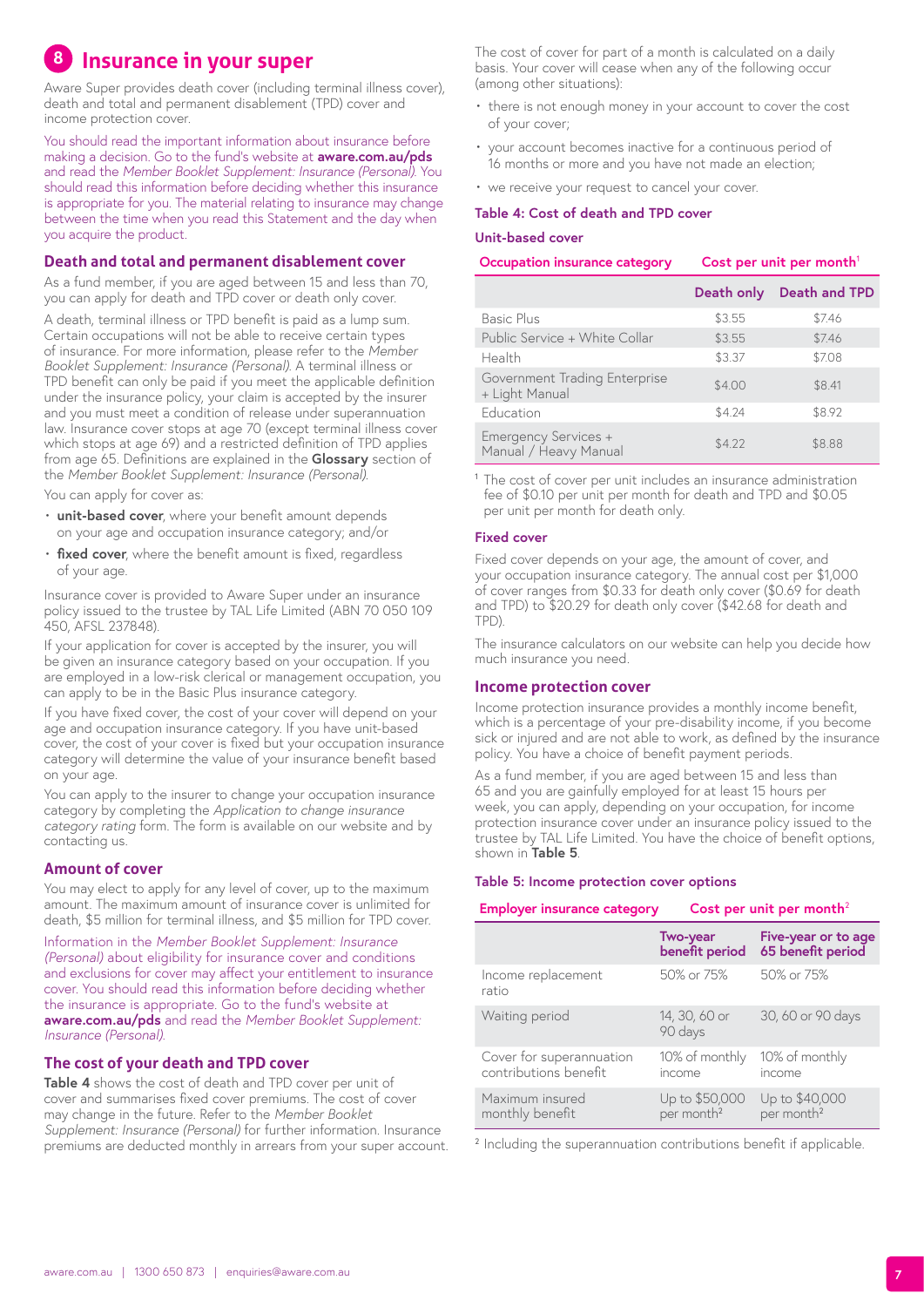# **8 Insurance in your super**

Aware Super provides death cover (including terminal illness cover), death and total and permanent disablement (TPD) cover and income protection cover.

You should read the important information about insurance before making a decision. Go to the fund's website at **[aware.com.au/pds](http://aware.com.au/pds)** and read the *Member Booklet Supplement: Insurance (Personal)*. You should read this information before deciding whether this insurance is appropriate for you. The material relating to insurance may change between the time when you read this Statement and the day when you acquire the product.

#### **Death and total and permanent disablement cover**

As a fund member, if you are aged between 15 and less than 70, you can apply for death and TPD cover or death only cover.

A death, terminal illness or TPD benefit is paid as a lump sum. Certain occupations will not be able to receive certain types of insurance. For more information, please refer to the *Member Booklet Supplement: Insurance (Personal)*. A terminal illness or TPD benefit can only be paid if you meet the applicable definition under the insurance policy, your claim is accepted by the insurer and you must meet a condition of release under superannuation law. Insurance cover stops at age 70 (except terminal illness cover which stops at age 69) and a restricted definition of TPD applies from age 65. Definitions are explained in the **Glossary** section of the *Member Booklet Supplement: Insurance (Personal)*.

You can apply for cover as:

- **unit-based cover**, where your benefit amount depends on your age and occupation insurance category; and/or
- **fixed cover**, where the benefit amount is fixed, regardless of your age.

Insurance cover is provided to Aware Super under an insurance policy issued to the trustee by TAL Life Limited (ABN 70 050 109 450, AFSL 237848).

If your application for cover is accepted by the insurer, you will be given an insurance category based on your occupation. If you are employed in a low-risk clerical or management occupation, you can apply to be in the Basic Plus insurance category.

If you have fixed cover, the cost of your cover will depend on your age and occupation insurance category. If you have unit-based cover, the cost of your cover is fixed but your occupation insurance category will determine the value of your insurance benefit based on your age.

You can apply to the insurer to change your occupation insurance category by completing the *Application to change insurance category rating* form. The form is available on our website and by contacting us.

#### **Amount of cover**

You may elect to apply for any level of cover, up to the maximum amount. The maximum amount of insurance cover is unlimited for death, \$5 million for terminal illness, and \$5 million for TPD cover.

Information in the *Member Booklet Supplement: Insurance (Personal)* about eligibility for insurance cover and conditions and exclusions for cover may affect your entitlement to insurance cover. You should read this information before deciding whether the insurance is appropriate. Go to the fund's website at **[aware.com.au/pds](http://aware.com.au/pds)** and read the *Member Booklet Supplement: Insurance (Personal)*.

### **The cost of your death and TPD cover**

**Table 4** shows the cost of death and TPD cover per unit of cover and summarises fixed cover premiums. The cost of cover may change in the future. Refer to the *Member Booklet Supplement: Insurance (Personal)* for further information. Insurance premiums are deducted monthly in arrears from your super account.

The cost of cover for part of a month is calculated on a daily basis. Your cover will cease when any of the following occur (among other situations):

- there is not enough money in your account to cover the cost of your cover;
- your account becomes inactive for a continuous period of 16 months or more and you have not made an election;
- we receive your request to cancel your cover.

### **Table 4: Cost of death and TPD cover**

#### **Unit-based cover**

### **Occupation insurance category Cost per unit per month**<sup>1</sup>

|                                                 | Death only | Death and TPD |
|-------------------------------------------------|------------|---------------|
| <b>Basic Plus</b>                               | \$3.55     | \$7.46        |
| Public Service + White Collar                   | \$3.55     | \$7.46        |
| Health                                          | \$3.37     | \$7.08        |
| Government Trading Enterprise<br>+ Light Manual | \$4.00     | \$8.41        |
| Education                                       | \$4.24     | \$8.92        |
| Emergency Services +<br>Manual / Heavy Manual   | \$4.22     | \$8.88        |

<sup>1</sup> The cost of cover per unit includes an insurance administration fee of \$0.10 per unit per month for death and TPD and \$0.05 per unit per month for death only.

#### **Fixed cover**

Fixed cover depends on your age, the amount of cover, and your occupation insurance category. The annual cost per \$1,000 of cover ranges from \$0.33 for death only cover (\$0.69 for death and TPD) to \$20.29 for death only cover (\$42.68 for death and TPD).

The insurance calculators on our website can help you decide how much insurance you need.

#### **Income protection cover**

Income protection insurance provides a monthly income benefit, which is a percentage of your pre-disability income, if you become sick or injured and are not able to work, as defined by the insurance policy. You have a choice of benefit payment periods.

As a fund member, if you are aged between 15 and less than 65 and you are gainfully employed for at least 15 hours per week, you can apply, depending on your occupation, for income protection insurance cover under an insurance policy issued to the trustee by TAL Life Limited. You have the choice of benefit options, shown in **Table 5**.

#### **Table 5: Income protection cover options**

| <b>Employer insurance category</b> | Cost per unit per month <sup>2</sup> |  |
|------------------------------------|--------------------------------------|--|
|------------------------------------|--------------------------------------|--|

|                                                   | <b>Two-year</b><br>benefit period        | Five-year or to age<br>65 benefit period |
|---------------------------------------------------|------------------------------------------|------------------------------------------|
| Income replacement<br>ratio                       | 50% or 75%                               | 50% or 75%                               |
| Waiting period                                    | 14, 30, 60 or<br>90 days                 | 30, 60 or 90 days                        |
| Cover for superannuation<br>contributions benefit | 10% of monthly<br>income                 | 10% of monthly<br>income                 |
| Maximum insured<br>monthly benefit                | Up to \$50,000<br>per month <sup>2</sup> | Up to \$40,000<br>per month <sup>2</sup> |

<sup>2</sup> Including the superannuation contributions benefit if applicable.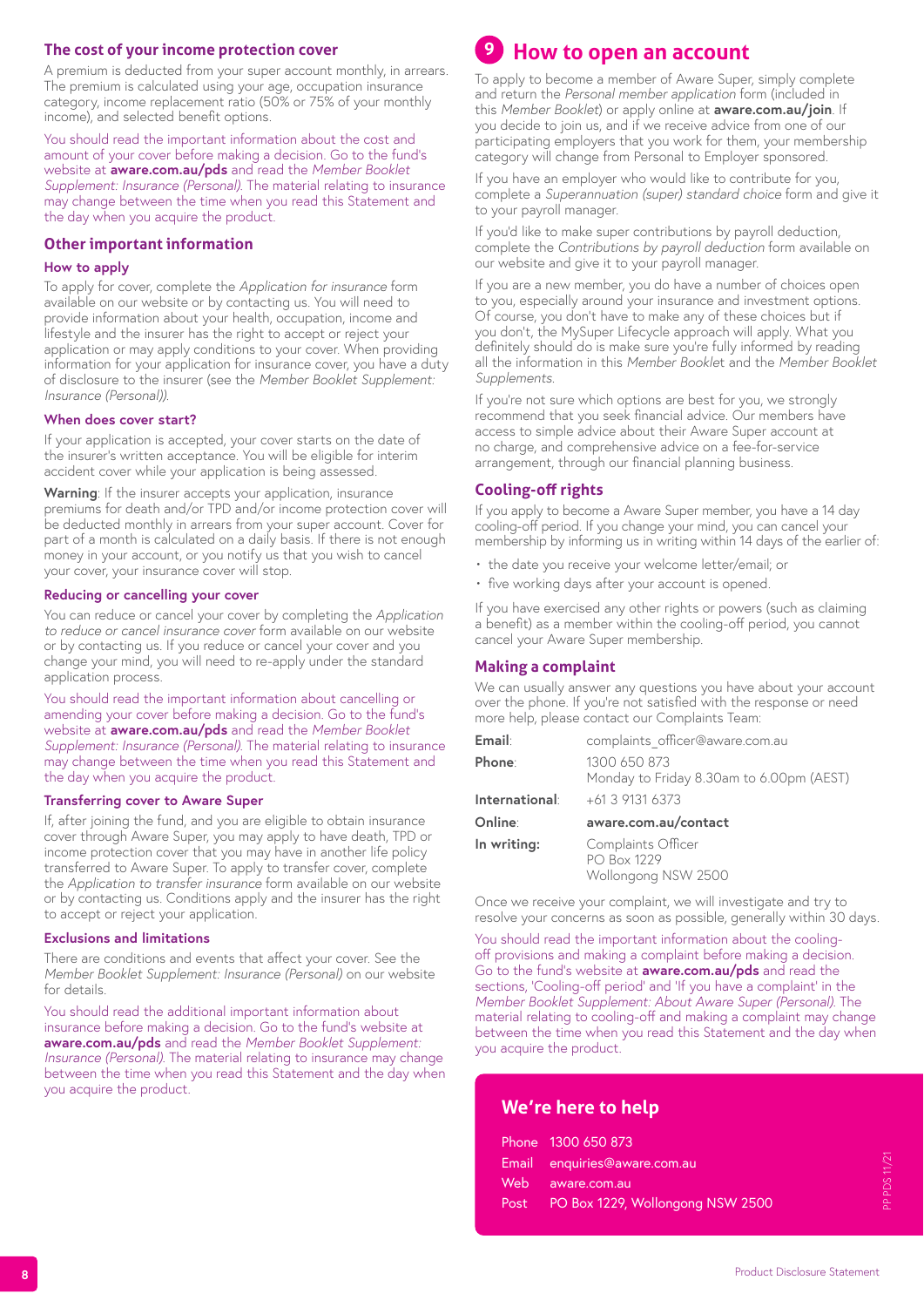### **The cost of your income protection cover**

A premium is deducted from your super account monthly, in arrears. The premium is calculated using your age, occupation insurance category, income replacement ratio (50% or 75% of your monthly income), and selected benefit options.

You should read the important information about the cost and amount of your cover before making a decision. Go to the fund's website at **[aware.com.au/pds](http://aware.com.au/pds)** and read the *Member Booklet Supplement: Insurance (Personal)*. The material relating to insurance may change between the time when you read this Statement and the day when you acquire the product.

#### **Other important information**

#### **How to apply**

To apply for cover, complete the *Application for insurance* form available on our website or by contacting us. You will need to provide information about your health, occupation, income and lifestyle and the insurer has the right to accept or reject your application or may apply conditions to your cover. When providing information for your application for insurance cover, you have a duty of disclosure to the insurer (see the *Member Booklet Supplement: Insurance (Personal))*.

#### **When does cover start?**

If your application is accepted, your cover starts on the date of the insurer's written acceptance. You will be eligible for interim accident cover while your application is being assessed.

**Warning**: If the insurer accepts your application, insurance premiums for death and/or TPD and/or income protection cover will be deducted monthly in arrears from your super account. Cover for part of a month is calculated on a daily basis. If there is not enough money in your account, or you notify us that you wish to cancel your cover, your insurance cover will stop.

#### **Reducing or cancelling your cover**

You can reduce or cancel your cover by completing the *Application to reduce or cancel insurance cover* form available on our website or by contacting us. If you reduce or cancel your cover and you change your mind, you will need to re-apply under the standard application process.

You should read the important information about cancelling or amending your cover before making a decision. Go to the fund's website at **[aware.com.au/pds](http://aware.com.au/pds)** and read the *Member Booklet Supplement: Insurance (Personal)*. The material relating to insurance may change between the time when you read this Statement and the day when you acquire the product.

#### **Transferring cover to Aware Super**

If, after joining the fund, and you are eligible to obtain insurance cover through Aware Super, you may apply to have death, TPD or income protection cover that you may have in another life policy transferred to Aware Super. To apply to transfer cover, complete the *Application to transfer insurance* form available on our website or by contacting us. Conditions apply and the insurer has the right to accept or reject your application.

#### **Exclusions and limitations**

There are conditions and events that affect your cover. See the *Member Booklet Supplement: Insurance (Personal)* on our website for details.

You should read the additional important information about insurance before making a decision. Go to the fund's website at **[aware.com.au/pds](http://aware.com.au/pds)** and read the *Member Booklet Supplement: Insurance (Personal)*. The material relating to insurance may change between the time when you read this Statement and the day when you acquire the product.

# **9 How to open an account**

To apply to become a member of Aware Super, simply complete and return the *Personal member application* form (included in this *Member Booklet*) or apply online at **[aware.com.au/join](http://aware.com.au/join)**. If you decide to join us, and if we receive advice from one of our participating employers that you work for them, your membership category will change from Personal to Employer sponsored.

If you have an employer who would like to contribute for you, complete a *Superannuation (super) standard choice* form and give it to your payroll manager.

If you'd like to make super contributions by payroll deduction, complete the *Contributions by payroll deduction* form available on our website and give it to your payroll manager.

If you are a new member, you do have a number of choices open to you, especially around your insurance and investment options. Of course, you don't have to make any of these choices but if you don't, the MySuper Lifecycle approach will apply. What you definitely should do is make sure you're fully informed by reading all the information in this *Member Bookle*t and the *Member Booklet Supplements*.

If you're not sure which options are best for you, we strongly recommend that you seek financial advice. Our members have access to simple advice about their Aware Super account at no charge, and comprehensive advice on a fee-for-service arrangement, through our financial planning business.

#### **Cooling-off rights**

If you apply to become a Aware Super member, you have a 14 day cooling-off period. If you change your mind, you can cancel your membership by informing us in writing within 14 days of the earlier of:

- the date you receive your welcome letter/email; or
- five working days after your account is opened.

If you have exercised any other rights or powers (such as claiming a benefit) as a member within the cooling-off period, you cannot cancel your Aware Super membership.

#### **Making a complaint**

We can usually answer any questions you have about your account over the phone. If you're not satisfied with the response or need more help, please contact our Complaints Team:

| Email:         | complaints officer@aware.com.au                          |
|----------------|----------------------------------------------------------|
| Phone:         | 1300 650 873<br>Monday to Friday 8.30am to 6.00pm (AEST) |
| International: | $+61$ 3 9131 6373                                        |
| Online:        | aware.com.au/contact                                     |
|                |                                                          |

Once we receive your complaint, we will investigate and try to resolve your concerns as soon as possible, generally within 30 days.

You should read the important information about the coolingoff provisions and making a complaint before making a decision. Go to the fund's website at **[aware.com.au/pds](http://aware.com.au/pds)** and read the sections, 'Cooling-off period' and 'If you have a complaint' in the *Member Booklet Supplement: About Aware Super (Personal)*. The material relating to cooling-off and making a complaint may change between the time when you read this Statement and the day when you acquire the product.

# **We're here to help**

| Phone 1300 650 873                    |
|---------------------------------------|
| Email enquiries@aware.com.au          |
| Web aware.com.au                      |
| Post PO Box 1229, Wollongong NSW 2500 |
|                                       |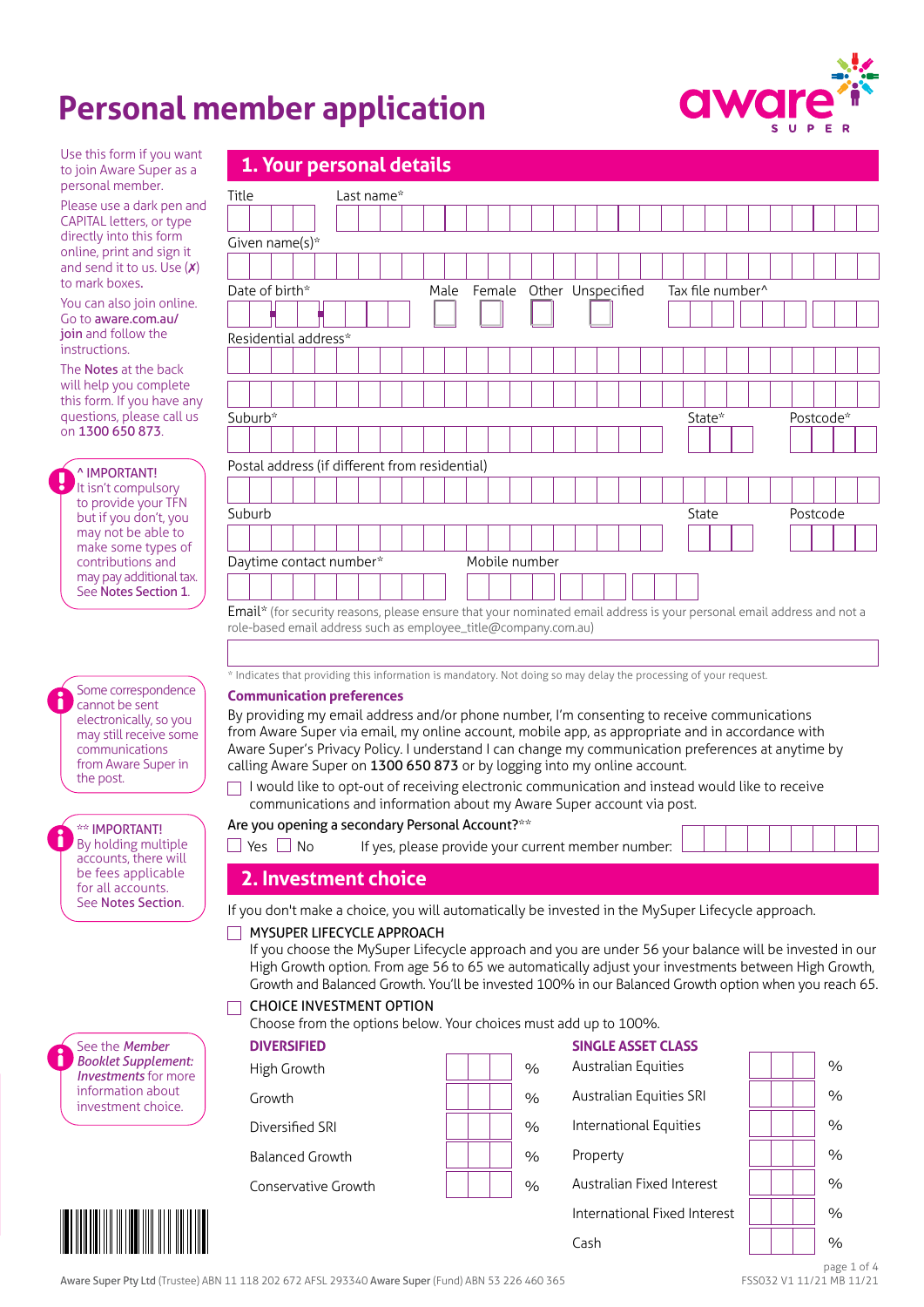# **Personal member application**

**1. Your personal details**

Title Last name\*



Use this form if you want to join Aware Super as a personal member.

Please use a dark pen and CAPITAL letters, or type directly into this form online, print and sign it and send it to us. Use  $(X)$ to mark boxes.

You can also join online. Go to aware.com.au/ join and follow the instructions.

The Notes at the back will help you complete this form. If you have any questions, please call us on 1300 650 873.

^ IMPORTANT! It isn't compulsory to provide your TFN but if you don't, you may not be able to make some types of contributions and may pay additional tax. See Notes Section 1.

|  | Some correspondence    |
|--|------------------------|
|  | cannot be sent         |
|  | electronically, so you |
|  | may still receive some |
|  | communications         |
|  | from Aware Super in    |
|  | the post.              |
|  |                        |

\*\* IMPORTANT! By holding multiple accounts, there will be fees applicable for all accounts. See Notes Section.





\* Indicates that providing this information is mandatory. Not doing so may delay the processing of your request.

#### **Communication preferences**

By providing my email address and/or phone number, I'm consenting to receive communications from Aware Super via email, my online account, mobile app, as appropriate and in accordance with Aware Super's Privacy Policy. I understand I can change my communication preferences at anytime by calling Aware Super on 1300 650 873 or by logging into my online account.

 $\Box$  I would like to opt-out of receiving electronic communication and instead would like to receive communications and information about my Aware Super account via post.

Are you opening a secondary Personal Account?\*\*

 $\Box$  Yes  $\Box$  No If yes, please provide your current member number:

# **2. Investment choice**

If you don't make a choice, you will automatically be invested in the MySuper Lifecycle approach.

#### **MYSUPER LIFECYCLE APPROACH**

If you choose the MySuper Lifecycle approach and you are under 56 your balance will be invested in our High Growth option. From age 56 to 65 we automatically adjust your investments between High Growth, Growth and Balanced Growth. You'll be invested 100% in our Balanced Growth option when you reach 65.

#### **CHOICE INVESTMENT OPTION**

Choose from the options below. Your choices must add up to 100%.

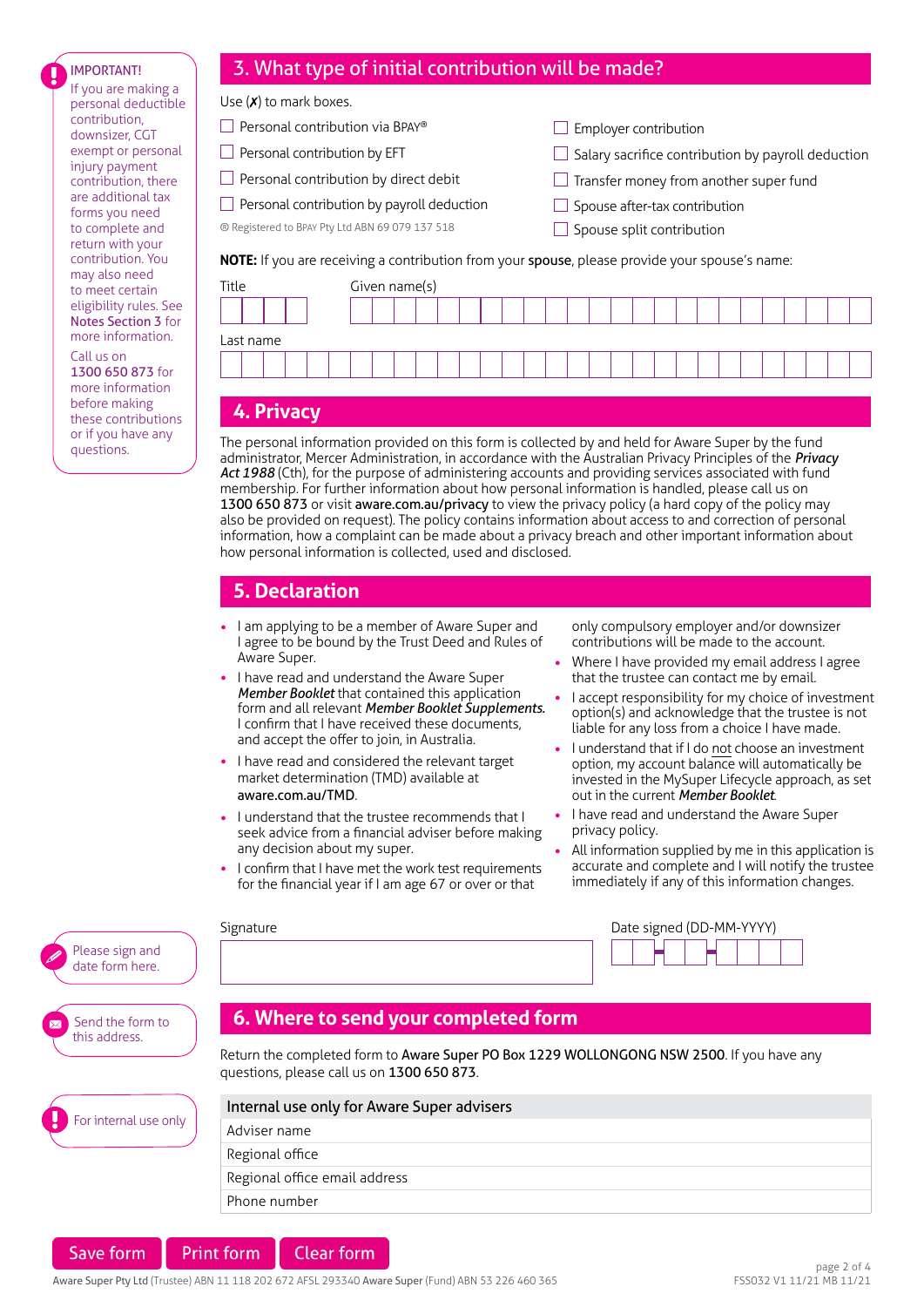#### IMPORTANT!

If you are making a personal deductible contribution, downsizer, CGT exempt or personal injury payment contribution, there are additional tax forms you need to complete and return with your contribution. You may also need to meet certain eligibility rules. See Notes Section 3 for more information.

Call us on 1300 650 873 for more information before making these contributions or if you have any questions.

### 3. What type of initial contribution will be made?

Use  $(X)$  to mark boxes.

 $\Box$  Personal contribution by direct debit  $\Box$  Personal contribution by payroll deduction ® Registered to BPAY Pty Ltd ABN 69 079 137 518

| Personal contribution via BPAY® | $\Box$ Employe  |
|---------------------------------|-----------------|
| Personal contribution by EFT    | $\Box$ Salary s |

- er contribution
- acrifice contribution by payroll deduction
- $\Box$  Transfer money from another super fund
- $\Box$  Spouse after-tax contribution
- $\Box$  Spouse split contribution

**NOTE:** If you are receiving a contribution from your spouse, please provide your spouse's name:

| Title                   | Given name(s) |  |  |  |  |  |  |  |  |  |  |  |  |  |  |  |  |  |  |
|-------------------------|---------------|--|--|--|--|--|--|--|--|--|--|--|--|--|--|--|--|--|--|
|                         |               |  |  |  |  |  |  |  |  |  |  |  |  |  |  |  |  |  |  |
| Last name               |               |  |  |  |  |  |  |  |  |  |  |  |  |  |  |  |  |  |  |
|                         |               |  |  |  |  |  |  |  |  |  |  |  |  |  |  |  |  |  |  |
| <b><i>SEPTEMBER</i></b> |               |  |  |  |  |  |  |  |  |  |  |  |  |  |  |  |  |  |  |

### **4. Privacy**

The personal information provided on this form is collected by and held for Aware Super by the fund administrator, Mercer Administration, in accordance with the Australian Privacy Principles of the *Privacy Act 1988* (Cth), for the purpose of administering accounts and providing services associated with fund membership. For further information about how personal information is handled, please call us on 1300 650 873 or visit [aware.com.au/privacy](https://aware.com.au/privacy) to view the privacy policy (a hard copy of the policy may also be provided on request). The policy contains information about access to and correction of personal information, how a complaint can be made about a privacy breach and other important information about how personal information is collected, used and disclosed.

| <b>5. Declaration</b> |  |  |
|-----------------------|--|--|
|                       |  |  |
|                       |  |  |

- I am applying to be a member of Aware Super and I agree to be bound by the Trust Deed and Rules of Aware Super.
- I have read and understand the Aware Super *Member Booklet* that contained this application form and all relevant *Member Booklet Supplements.* I confirm that I have received these documents. and accept the offer to join, in Australia.
- I have read and considered the relevant target market determination (TMD) available at [aware.com.au/TMD](https://aware.com.au/TMD).
- I understand that the trustee recommends that I seek advice from a financial adviser before making any decision about my super.
- I confirm that I have met the work test requirements for the financial year if I am age 67 or over or that

only compulsory employer and/or downsizer contributions will be made to the account.

- Where I have provided my email address I agree that the trustee can contact me by email.
- I accept responsibility for my choice of investment option(s) and acknowledge that the trustee is not liable for any loss from a choice I have made.
- I understand that if I do not choose an investment option, my account balance will automatically be invested in the MySuper Lifecycle approach, as set out in the current *Member Booklet*.
- I have read and understand the Aware Super privacy policy.
- All information supplied by me in this application is accurate and complete and I will notify the trustee immediately if any of this information changes.

| Please sign and<br>date form here. | Signature                                                                                                                               | Date signed (DD-MM-YYYY) |
|------------------------------------|-----------------------------------------------------------------------------------------------------------------------------------------|--------------------------|
| Send the form to                   | 6. Where to send your completed form                                                                                                    |                          |
| this address.                      | Return the completed form to Aware Super PO Box 1229 WOLLONGONG NSW 2500. If you have any<br>questions, please call us on 1300 650 873. |                          |
| For internal use only              | Internal use only for Aware Super advisers                                                                                              |                          |
|                                    | Adviser name                                                                                                                            |                          |
|                                    | Regional office                                                                                                                         |                          |
|                                    | Regional office email address                                                                                                           |                          |
|                                    | Phone number                                                                                                                            |                          |

**Print form** Save form **Clear form** 

page 2 of 4 FSS032 V1 11/21 MB 11/21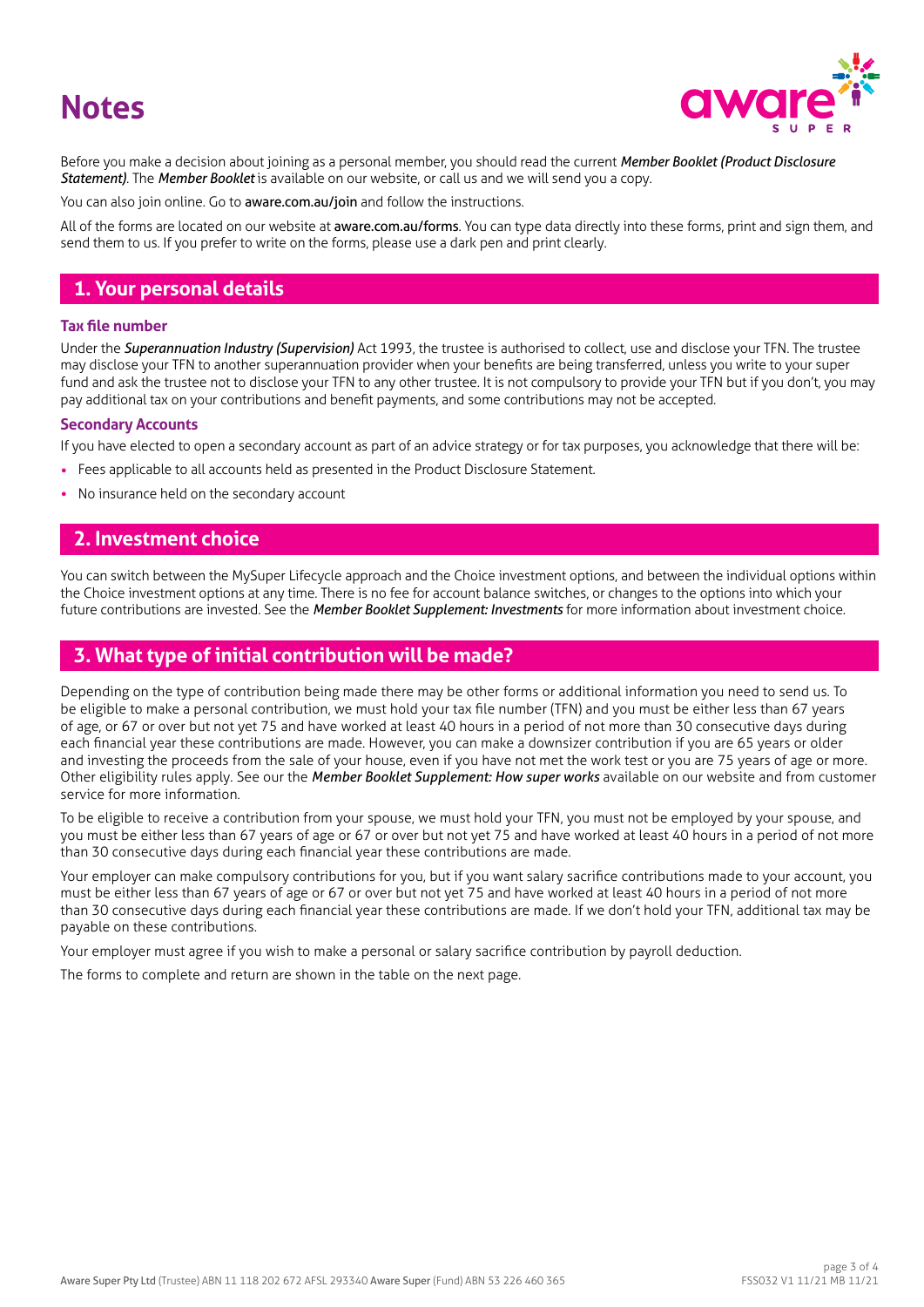# **Notes**



Before you make a decision about joining as a personal member, you should read the current *Member Booklet (Product Disclosure Statement)*. The *Member Booklet* is available on our website, or call us and we will send you a copy.

You can also join online. Go to [aware.com.au/join](https://aware.com.au/join) and follow the instructions.

All of the forms are located on our website at [aware.com.au/forms](https://aware.com.au/forms). You can type data directly into these forms, print and sign them, and send them to us. If you prefer to write on the forms, please use a dark pen and print clearly.

# **1. Your personal details**

#### **Tax file number**

Under the *Superannuation Industry (Supervision)* Act 1993, the trustee is authorised to collect, use and disclose your TFN. The trustee may disclose your TFN to another superannuation provider when your benefits are being transferred, unless you write to your super fund and ask the trustee not to disclose your TFN to any other trustee. It is not compulsory to provide your TFN but if you don't, you may pay additional tax on your contributions and benefit payments, and some contributions may not be accepted.

#### **Secondary Accounts**

If you have elected to open a secondary account as part of an advice strategy or for tax purposes, you acknowledge that there will be:

- Fees applicable to all accounts held as presented in the Product Disclosure Statement.
- No insurance held on the secondary account

### **2. Investment choice**

You can switch between the MySuper Lifecycle approach and the Choice investment options, and between the individual options within the Choice investment options at any time. There is no fee for account balance switches, or changes to the options into which your future contributions are invested. See the *Member Booklet Supplement: Investments* for more information about investment choice.

### **3. What type of initial contribution will be made?**

Depending on the type of contribution being made there may be other forms or additional information you need to send us. To be eligible to make a personal contribution, we must hold your tax file number (TFN) and you must be either less than 67 years of age, or 67 or over but not yet 75 and have worked at least 40 hours in a period of not more than 30 consecutive days during each financial year these contributions are made. However, you can make a downsizer contribution if you are 65 years or older and investing the proceeds from the sale of your house, even if you have not met the work test or you are 75 years of age or more. Other eligibility rules apply. See our the *Member Booklet Supplement: How super works* available on our website and from customer service for more information.

To be eligible to receive a contribution from your spouse, we must hold your TFN, you must not be employed by your spouse, and you must be either less than 67 years of age or 67 or over but not yet 75 and have worked at least 40 hours in a period of not more than 30 consecutive days during each financial year these contributions are made.

Your employer can make compulsory contributions for you, but if you want salary sacrifice contributions made to your account, you must be either less than 67 years of age or 67 or over but not yet 75 and have worked at least 40 hours in a period of not more than 30 consecutive days during each financial year these contributions are made. If we don't hold your TFN, additional tax may be payable on these contributions.

Your employer must agree if you wish to make a personal or salary sacrifice contribution by payroll deduction.

The forms to complete and return are shown in the table on the next page.